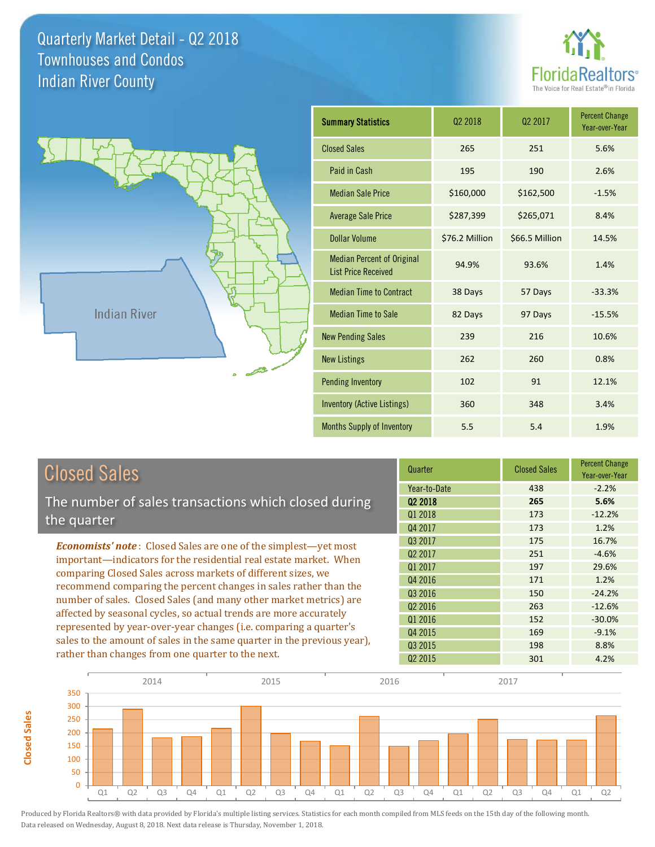**Closed Sales**

**Closed Sales** 





| <b>Closed Sales</b>                                                                                                                                                                                   | Quarter             | <b>Closed Sales</b> | <b>Percent Change</b><br>Year-over-Year |
|-------------------------------------------------------------------------------------------------------------------------------------------------------------------------------------------------------|---------------------|---------------------|-----------------------------------------|
|                                                                                                                                                                                                       | Year-to-Date        | 438                 | $-2.2%$                                 |
| The number of sales transactions which closed during                                                                                                                                                  | Q <sub>2</sub> 2018 | 265                 | 5.6%                                    |
| the quarter                                                                                                                                                                                           | 01 2018             | 173                 | $-12.2%$                                |
|                                                                                                                                                                                                       | Q4 2017             | 173                 | 1.2%                                    |
| <b>Economists' note:</b> Closed Sales are one of the simplest—yet most                                                                                                                                | 03 2017             | 175                 | 16.7%                                   |
| important—indicators for the residential real estate market. When                                                                                                                                     | Q <sub>2</sub> 2017 | 251                 | $-4.6%$                                 |
| comparing Closed Sales across markets of different sizes, we<br>recommend comparing the percent changes in sales rather than the<br>number of sales. Closed Sales (and many other market metrics) are | Q1 2017             | 197                 | 29.6%                                   |
|                                                                                                                                                                                                       | Q4 2016             | 171                 | 1.2%                                    |
|                                                                                                                                                                                                       | Q3 2016             | 150                 | $-24.2%$                                |
|                                                                                                                                                                                                       | Q <sub>2</sub> 2016 | 263                 | $-12.6%$                                |
| affected by seasonal cycles, so actual trends are more accurately                                                                                                                                     | Q1 2016             | 152                 | $-30.0%$                                |
| represented by year-over-year changes (i.e. comparing a quarter's                                                                                                                                     | Q4 2015             | 169                 | $-9.1%$                                 |
| sales to the amount of sales in the same quarter in the previous year),                                                                                                                               | Q3 2015             | 198                 | 8.8%                                    |
| rather than changes from one quarter to the next.                                                                                                                                                     | Q <sub>2</sub> 2015 | 301                 | 4.2%                                    |

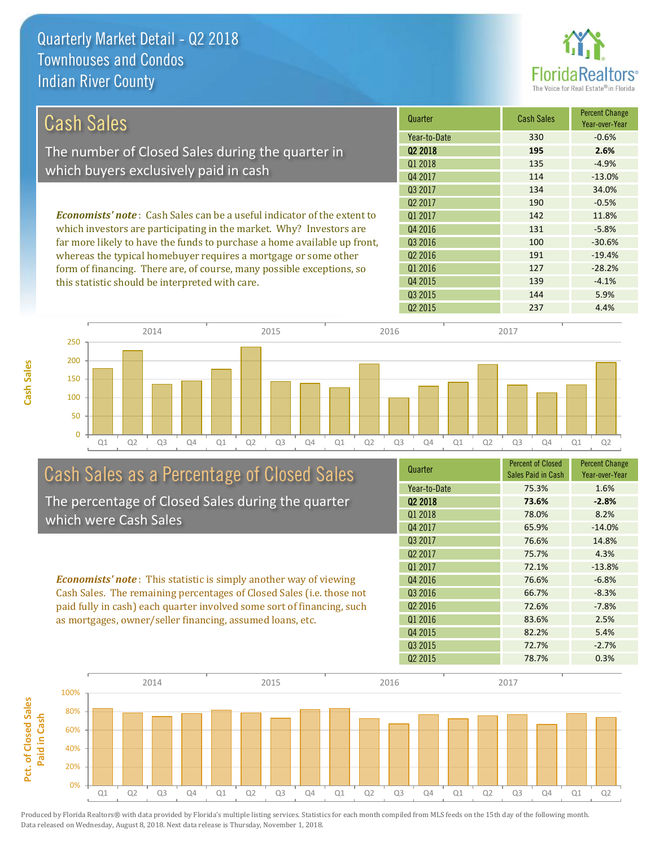

| Cash Sales                                                                     | Quarter             | <b>Cash Sales</b> | <b>Percent Change</b><br>Year-over-Year |
|--------------------------------------------------------------------------------|---------------------|-------------------|-----------------------------------------|
|                                                                                | Year-to-Date        | 330               | $-0.6%$                                 |
| The number of Closed Sales during the quarter in                               | 02 2018             | 195               | 2.6%                                    |
|                                                                                | 01 2018             | 135               | $-4.9%$                                 |
| which buyers exclusively paid in cash                                          | Q4 2017             | 114               | $-13.0%$                                |
|                                                                                | Q3 2017             | 134               | 34.0%                                   |
|                                                                                | Q <sub>2</sub> 2017 | 190               | $-0.5%$                                 |
| <b>Economists' note:</b> Cash Sales can be a useful indicator of the extent to | 01 2017             | 142               | 11.8%                                   |
| which investors are participating in the market. Why? Investors are            | Q4 2016             | 131               | $-5.8%$                                 |
| far more likely to have the funds to purchase a home available up front,       | Q3 2016             | 100               | $-30.6%$                                |
| whereas the typical homebuyer requires a mortgage or some other                | Q <sub>2</sub> 2016 | 191               | $-19.4%$                                |
| form of financing. There are, of course, many possible exceptions, so          | Q1 2016             | 127               | $-28.2%$                                |
| this statistic should be interpreted with care.                                | Q4 2015             | 139               | $-4.1%$                                 |





# Cash Sales as a Percentage of Closed Sales

The percentage of Closed Sales during the quarter which were Cash Sales

*Economists' note* : This statistic is simply another way of viewing Cash Sales. The remaining percentages of Closed Sales (i.e. those not paid fully in cash) each quarter involved some sort of financing, such as mortgages, owner/seller financing, assumed loans, etc.

| Quarter             | <b>Percent of Closed</b> | <b>Percent Change</b> |
|---------------------|--------------------------|-----------------------|
|                     | Sales Paid in Cash       | Year-over-Year        |
| Year-to-Date        | 75.3%                    | 1.6%                  |
| Q <sub>2</sub> 2018 | 73.6%                    | $-2.8%$               |
| Q1 2018             | 78.0%                    | 8.2%                  |
| Q4 2017             | 65.9%                    | $-14.0%$              |
| Q3 2017             | 76.6%                    | 14.8%                 |
| Q <sub>2</sub> 2017 | 75.7%                    | 4.3%                  |
| 01 2017             | 72.1%                    | $-13.8%$              |
| Q4 2016             | 76.6%                    | $-6.8%$               |
| Q3 2016             | 66.7%                    | $-8.3%$               |
| 02 2016             | 72.6%                    | $-7.8%$               |
| 01 2016             | 83.6%                    | 2.5%                  |
| Q4 2015             | 82.2%                    | 5.4%                  |
| Q3 2015             | 72.7%                    | $-2.7%$               |
| Q <sub>2</sub> 2015 | 78.7%                    | 0.3%                  |
|                     |                          |                       |

Q2 2015 237 4.4%

Q3 2015 144 5.9%

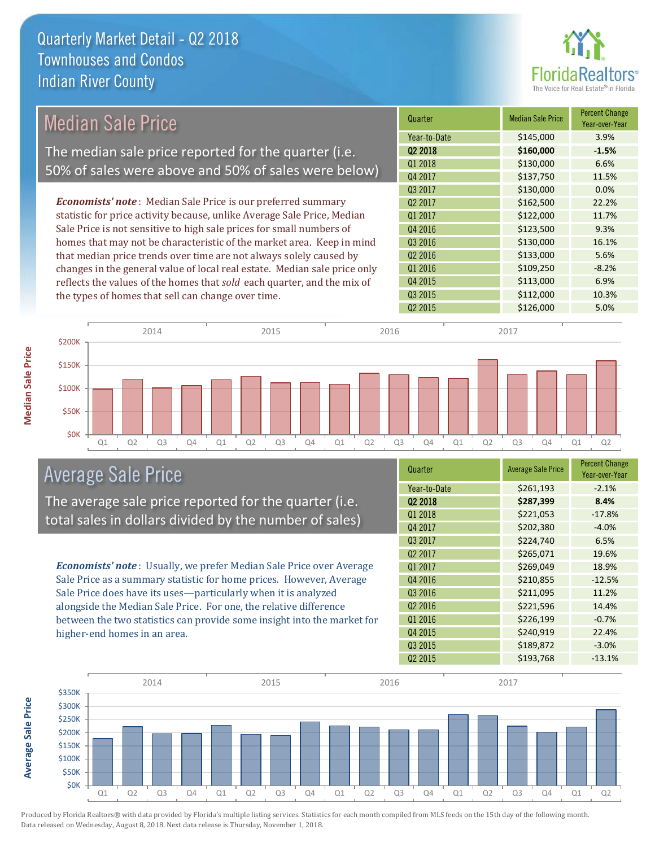

#### Quarter Median Sale Price Percent Change Year-over-Year Q2 2018 **\$160,000 -1.5%** Year-to-Date \$145,000 3.9% Q3 2016 \$130,000 16.1% Q1 2018 **\$130,000** 6.6% Q4 2017 \$137,750 11.5% Q1 2017 \$122,000 11.7% Q4 2016 **\$123,500** 9.3% Q3 2017 \$130,000 0.0% Q2 2017 \$162,500 22.2% Q2 2016 \$133,000 5.6%  $Q1\,2016$   $$109,250$   $-8.2\%$ Q4 2015 \$113,000 6.9% Q3 2015 \$112,000 10.3% Q2 2015 \$126,000 5.0% *Economists' note* : Median Sale Price is our preferred summary statistic for price activity because, unlike Average Sale Price, Median Sale Price is not sensitive to high sale prices for small numbers of homes that may not be characteristic of the market area. Keep in mind that median price trends over time are not always solely caused by changes in the general value of local real estate. Median sale price only reflects the values of the homes that *sold* each quarter, and the mix of the types of homes that sell can change over time. 2014 2015 2015 2016 2017 2018 2017 2017 2017 2017 Median Sale Price The median sale price reported for the quarter (i.e. 50% of sales were above and 50% of sales were below)



### Average Sale Price

The average sale price reported for the quarter (i.e. total sales in dollars divided by the number of sales)

*Economists' note* : Usually, we prefer Median Sale Price over Average Sale Price as a summary statistic for home prices. However, Average Sale Price does have its uses—particularly when it is analyzed alongside the Median Sale Price. For one, the relative difference between the two statistics can provide some insight into the market for higher-end homes in an area.

| Quarter             | <b>Average Sale Price</b> | <b>Percent Change</b><br>Year-over-Year |
|---------------------|---------------------------|-----------------------------------------|
| Year-to-Date        | \$261,193                 | $-2.1%$                                 |
| 02 2018             | \$287,399                 | 8.4%                                    |
| Q1 2018             | \$221,053                 | $-17.8%$                                |
| Q4 2017             | \$202,380                 | $-4.0%$                                 |
| Q3 2017             | \$224,740                 | 6.5%                                    |
| Q <sub>2</sub> 2017 | \$265,071                 | 19.6%                                   |
| Q1 2017             | \$269,049                 | 18.9%                                   |
| Q4 2016             | \$210,855                 | $-12.5%$                                |
| Q3 2016             | \$211,095                 | 11.2%                                   |
| Q <sub>2</sub> 2016 | \$221,596                 | 14.4%                                   |
| Q1 2016             | \$226,199                 | $-0.7%$                                 |
| Q4 2015             | \$240,919                 | 22.4%                                   |
| Q3 2015             | \$189,872                 | $-3.0%$                                 |
| Q <sub>2</sub> 2015 | \$193,768                 | $-13.1%$                                |



Produced by Florida Realtors® with data provided by Florida's multiple listing services. Statistics for each month compiled from MLS feeds on the 15th day of the following month. Data released on Wednesday, August 8, 2018. Next data release is Thursday, November 1, 2018.

**Average Sale Price**

**Average Sale Price**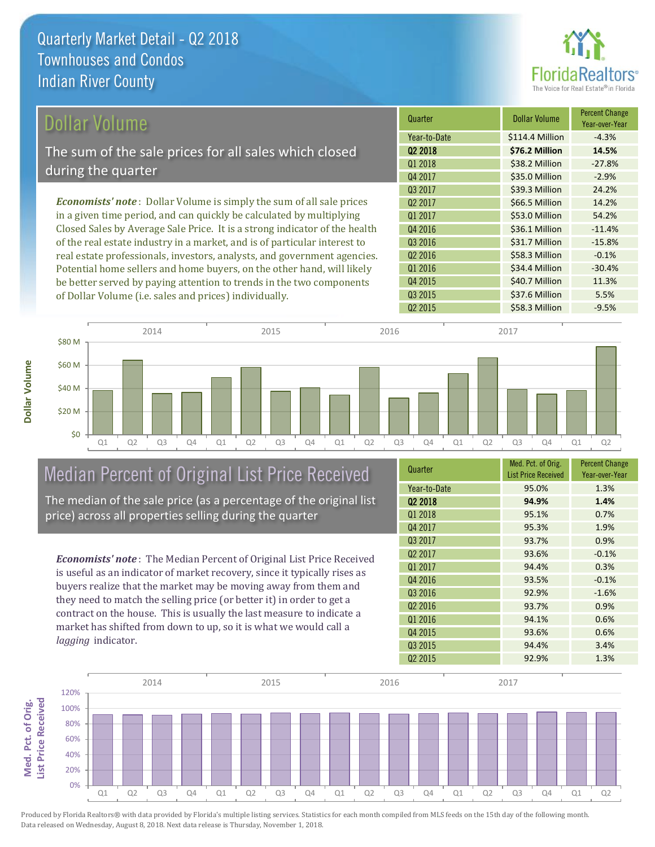\$40.7 Million 11.3%

Q3 2015 **\$37.6 Million 5.5%** 

#### Quarter **Dollar Volume** Percent Change Year-over-Year Q2 2018 **\$76.2 Million 14.5%** Year-to-Date \$114.4 Million -4.3% -15.8% Q1 2018 **\$38.2 Million** -27.8% Q4 2017 **\$35.0 Million -2.9%** \$34.4 Million -30.4% Q3 2017 \$39.3 Million 24.2% 02 2017 **S66.5 Million** 14.2% Q1 2017 **\$53.0 Million** 54.2% Q4 2016 **S36.1 Million** -11.4% Q3 2016 **\$31.7 Million** *Economists' note* : Dollar Volume is simply the sum of all sale prices in a given time period, and can quickly be calculated by multiplying Closed Sales by Average Sale Price. It is a strong indicator of the health of the real estate industry in a market, and is of particular interest to real estate professionals, investors, analysts, and government agencies. Potential home sellers and home buyers, on the other hand, will likely Q2 2016 **S S58.3 Million** -0.1% Q1 2016 Dollar Volume The sum of the sale prices for all sales which closed during the quarter

Q4 2015

Q2 2015 558.3 Million -9.5% \$0 \$20 M \$40 M \$60 M \$80 M 2014 2015 2015 2016 2017 2018 2017 2017 2017 2017

Q1 Q2 Q3 Q4 Q1 Q2 Q3 Q4 Q1 Q2 Q3 Q4 Q1 Q2 Q3 Q4 Q1 Q2

## Median Percent of Original List Price Received

be better served by paying attention to trends in the two components

of Dollar Volume (i.e. sales and prices) individually.

The median of the sale price (as a percentage of the original list price) across all properties selling during the quarter

*Economists' note* : The Median Percent of Original List Price Received is useful as an indicator of market recovery, since it typically rises as buyers realize that the market may be moving away from them and they need to match the selling price (or better it) in order to get a contract on the house. This is usually the last measure to indicate a market has shifted from down to up, so it is what we would call a *lagging* indicator.

| Quarter             | Med. Pct. of Orig.<br><b>List Price Received</b> | <b>Percent Change</b><br>Year-over-Year |
|---------------------|--------------------------------------------------|-----------------------------------------|
| Year-to-Date        | 95.0%                                            | 1.3%                                    |
| Q <sub>2</sub> 2018 | 94.9%                                            | 1.4%                                    |
| 01 2018             | 95.1%                                            | 0.7%                                    |
| Q4 2017             | 95.3%                                            | 1.9%                                    |
| Q3 2017             | 93.7%                                            | 0.9%                                    |
| Q <sub>2</sub> 2017 | 93.6%                                            | $-0.1%$                                 |
| Q1 2017             | 94.4%                                            | 0.3%                                    |
| Q4 2016             | 93.5%                                            | $-0.1%$                                 |
| Q3 2016             | 92.9%                                            | $-1.6%$                                 |
| Q <sub>2</sub> 2016 | 93.7%                                            | 0.9%                                    |
| Q1 2016             | 94.1%                                            | 0.6%                                    |
| Q4 2015             | 93.6%                                            | 0.6%                                    |
| Q3 2015             | 94.4%                                            | 3.4%                                    |
| Q <sub>2</sub> 2015 | 92.9%                                            | 1.3%                                    |



Produced by Florida Realtors® with data provided by Florida's multiple listing services. Statistics for each month compiled from MLS feeds on the 15th day of the following month. Data released on Wednesday, August 8, 2018. Next data release is Thursday, November 1, 2018.

**Med. Pct. of Orig.**  ist Price Received Med. Pct. of Orig.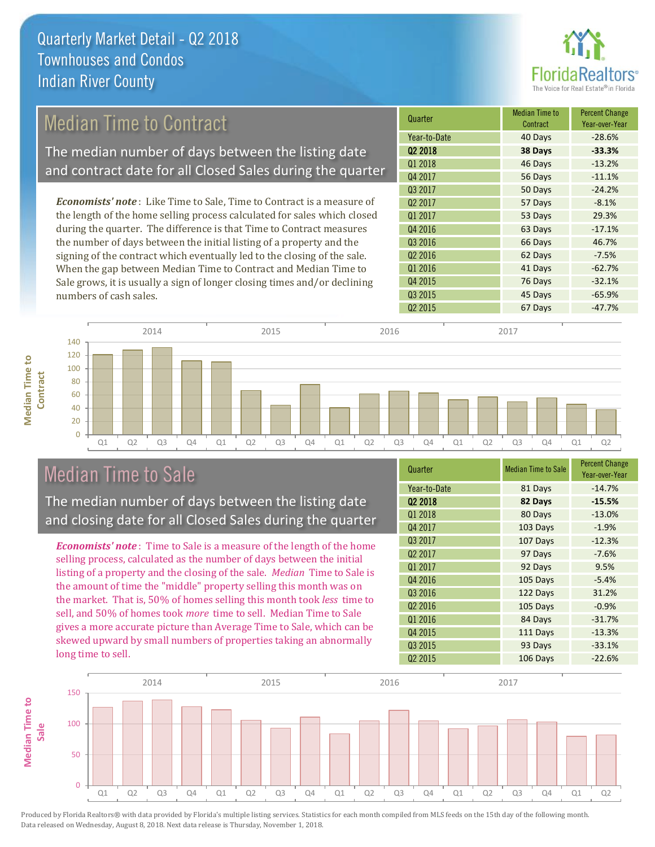

## Median Time to Contract

The median number of days between the listing date and contract date for all Closed Sales during the quarter

*Economists' note* : Like Time to Sale, Time to Contract is a measure of the length of the home selling process calculated for sales which closed during the quarter. The difference is that Time to Contract measures the number of days between the initial listing of a property and the signing of the contract which eventually led to the closing of the sale. When the gap between Median Time to Contract and Median Time to Sale grows, it is usually a sign of longer closing times and/or declining numbers of cash sales.





#### Median Time to Sale

**Median Time to** 

**Median Time to** 

The median number of days between the listing date and closing date for all Closed Sales during the quarter

*Economists' note* : Time to Sale is a measure of the length of the home selling process, calculated as the number of days between the initial listing of a property and the closing of the sale. *Median* Time to Sale is the amount of time the "middle" property selling this month was on the market. That is, 50% of homes selling this month took *less* time to sell, and 50% of homes took *more* time to sell. Median Time to Sale gives a more accurate picture than Average Time to Sale, which can be skewed upward by small numbers of properties taking an abnormally long time to sell.

| Quarter             | <b>Median Time to Sale</b> | <b>Percent Change</b><br>Year-over-Year |
|---------------------|----------------------------|-----------------------------------------|
| Year-to-Date        | 81 Days                    | $-14.7%$                                |
| Q <sub>2</sub> 2018 | 82 Days                    | $-15.5%$                                |
| Q1 2018             | 80 Days                    | $-13.0%$                                |
| Q4 2017             | 103 Days                   | $-1.9%$                                 |
| Q3 2017             | 107 Days                   | $-12.3%$                                |
| Q <sub>2</sub> 2017 | 97 Days                    | $-7.6%$                                 |
| Q1 2017             | 92 Days                    | 9.5%                                    |
| Q4 2016             | 105 Days                   | $-5.4%$                                 |
| Q3 2016             | 122 Days                   | 31.2%                                   |
| Q <sub>2</sub> 2016 | 105 Days                   | $-0.9%$                                 |
| Q1 2016             | 84 Days                    | $-31.7%$                                |
| Q4 2015             | 111 Days                   | $-13.3%$                                |
| Q3 2015             | 93 Days                    | $-33.1%$                                |
| Q <sub>2</sub> 2015 | 106 Days                   | $-22.6%$                                |

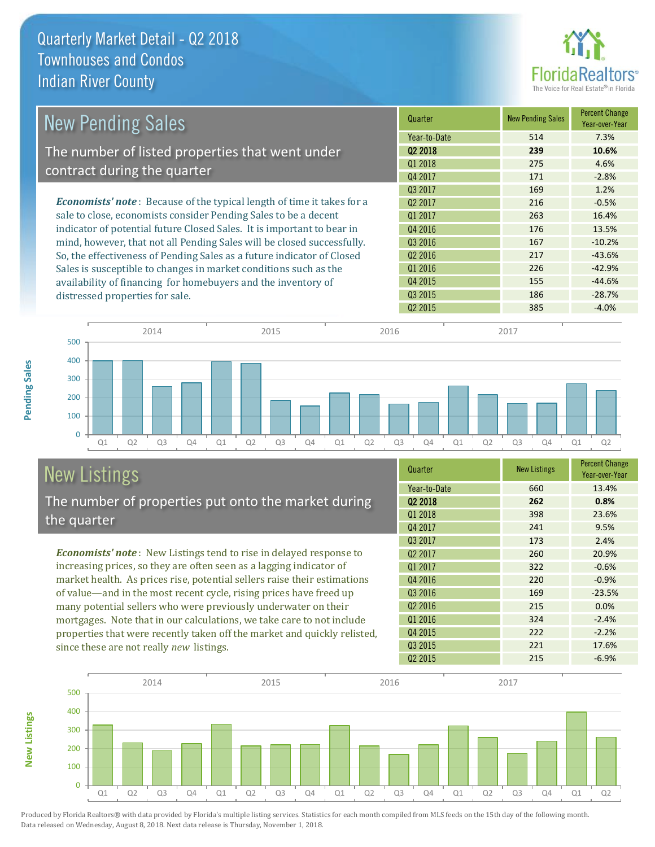

| <b>New Pending Sales</b>                                                      | Quarter             | <b>New Pending Sales</b> | <b>Percent Change</b><br>Year-over-Year |
|-------------------------------------------------------------------------------|---------------------|--------------------------|-----------------------------------------|
|                                                                               | Year-to-Date        | 514                      | 7.3%                                    |
| The number of listed properties that went under                               | 02 2018             | 239                      | 10.6%                                   |
| contract during the quarter                                                   | Q1 2018             | 275                      | 4.6%                                    |
|                                                                               | Q4 2017             | 171                      | $-2.8%$                                 |
|                                                                               | 03 2017             | 169                      | 1.2%                                    |
| <b>Economists' note:</b> Because of the typical length of time it takes for a | Q <sub>2</sub> 2017 | 216                      | $-0.5%$                                 |
| sale to close, economists consider Pending Sales to be a decent               | 01 2017             | 263                      | 16.4%                                   |
| indicator of potential future Closed Sales. It is important to bear in        | Q4 2016             | 176                      | 13.5%                                   |
| mind, however, that not all Pending Sales will be closed successfully.        | Q3 2016             | 167                      | $-10.2%$                                |
| So, the effectiveness of Pending Sales as a future indicator of Closed        | Q <sub>2</sub> 2016 | 217                      | $-43.6%$                                |
| Sales is susceptible to changes in market conditions such as the              | Q1 2016             | 226                      | $-42.9%$                                |
| availability of financing for homebuyers and the inventory of                 | Q4 2015             | 155                      | $-44.6%$                                |
| distressed properties for sale.                                               | 03 2015             | 186                      | $-28.7%$                                |
|                                                                               | 02 2015             | 385                      | $-4.0%$                                 |



# New Listings

The number of properties put onto the market during the quarter

*Economists' note* : New Listings tend to rise in delayed response to increasing prices, so they are often seen as a lagging indicator of market health. As prices rise, potential sellers raise their estimations of value—and in the most recent cycle, rising prices have freed up many potential sellers who were previously underwater on their mortgages. Note that in our calculations, we take care to not include properties that were recently taken off the market and quickly relisted, since these are not really *new* listings.

| Quarter             | <b>New Listings</b> | <b>Percent Change</b><br>Year-over-Year |
|---------------------|---------------------|-----------------------------------------|
| Year-to-Date        | 660                 | 13.4%                                   |
| 02 2018             | 262                 | 0.8%                                    |
| Q1 2018             | 398                 | 23.6%                                   |
| Q4 2017             | 241                 | 9.5%                                    |
| Q3 2017             | 173                 | 2.4%                                    |
| Q <sub>2</sub> 2017 | 260                 | 20.9%                                   |
| 01 2017             | 322                 | $-0.6%$                                 |
| Q4 2016             | 220                 | $-0.9%$                                 |
| Q3 2016             | 169                 | $-23.5%$                                |
| Q <sub>2</sub> 2016 | 215                 | 0.0%                                    |
| Q1 2016             | 324                 | $-2.4%$                                 |
| Q4 2015             | 222                 | $-2.2%$                                 |
| Q3 2015             | 221                 | 17.6%                                   |
| Q <sub>2</sub> 2015 | 215                 | $-6.9%$                                 |



**Pending Sales**

**Pending Sales**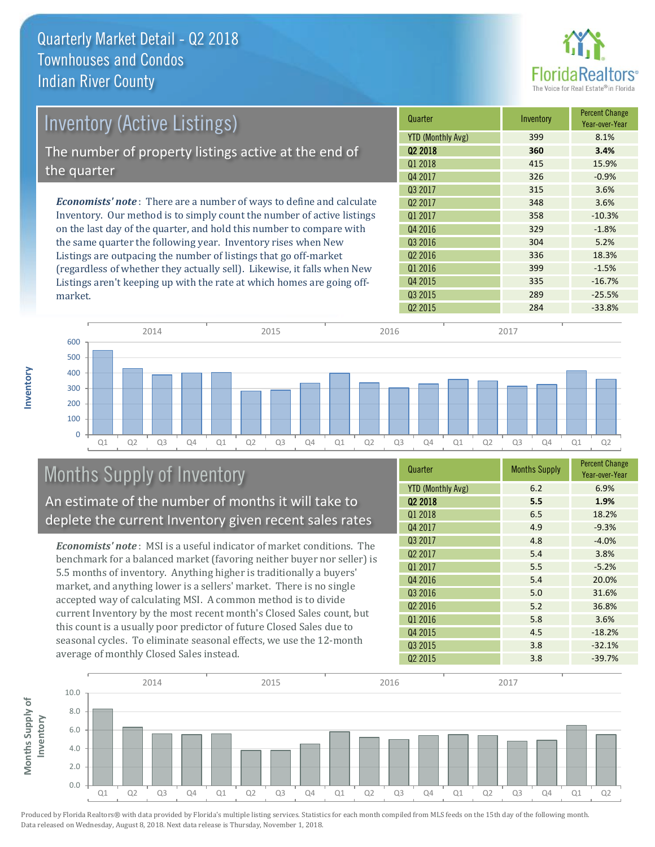

| Inventory (Active Listings)                                                  | Quarter             | Inventory | <b>Percent Change</b><br>Year-over-Year |
|------------------------------------------------------------------------------|---------------------|-----------|-----------------------------------------|
|                                                                              | YTD (Monthly Avg)   | 399       | 8.1%                                    |
| The number of property listings active at the end of                         | 02 2018             | 360       | 3.4%                                    |
|                                                                              | Q1 2018             | 415       | 15.9%                                   |
| the quarter                                                                  | Q4 2017             | 326       | $-0.9%$                                 |
|                                                                              | Q3 2017             | 315       | 3.6%                                    |
| <b>Economists' note</b> : There are a number of ways to define and calculate | Q <sub>2</sub> 2017 | 348       | 3.6%                                    |
| Inventory. Our method is to simply count the number of active listings       | Q1 2017             | 358       | $-10.3%$                                |
| on the last day of the quarter, and hold this number to compare with         | Q4 2016             | 329       | $-1.8%$                                 |
| the same quarter the following year. Inventory rises when New                | Q3 2016             | 304       | 5.2%                                    |
| Listings are outpacing the number of listings that go off-market             | Q <sub>2</sub> 2016 | 336       | 18.3%                                   |
| (regardless of whether they actually sell). Likewise, it falls when New      | Q1 2016             | 399       | $-1.5%$                                 |

 $Q2\,2015$  284 -33.8% Q1 Q2 Q3 Q4 Q1 Q2 Q3 Q4 Q1 Q2 Q3 Q4 Q1 Q2 Q3 Q4 Q1 Q2  $\Omega$ 100 200 300 400 500 600 2014 2015 2015 2016 2017 2018 2017 2017 2017 2017

# Months Supply of Inventory

An estimate of the number of months it will take to deplete the current Inventory given recent sales rates

Listings aren't keeping up with the rate at which homes are going off-

*Economists' note* : MSI is a useful indicator of market conditions. The benchmark for a balanced market (favoring neither buyer nor seller) is 5.5 months of inventory. Anything higher is traditionally a buyers' market, and anything lower is a sellers' market. There is no single accepted way of calculating MSI. A common method is to divide current Inventory by the most recent month's Closed Sales count, but this count is a usually poor predictor of future Closed Sales due to seasonal cycles. To eliminate seasonal effects, we use the 12-month average of monthly Closed Sales instead.

| Quarter                  | <b>Months Supply</b> | <b>Percent Change</b><br>Year-over-Year |
|--------------------------|----------------------|-----------------------------------------|
| <b>YTD (Monthly Avg)</b> | 6.2                  | 6.9%                                    |
| 02 2018                  | 5.5                  | 1.9%                                    |
| Q1 2018                  | 6.5                  | 18.2%                                   |
| Q4 2017                  | 4.9                  | $-9.3%$                                 |
| Q3 2017                  | 4.8                  | $-4.0%$                                 |
| Q <sub>2</sub> 2017      | 5.4                  | 3.8%                                    |
| 01 2017                  | 5.5                  | $-5.2%$                                 |
| Q4 2016                  | 5.4                  | 20.0%                                   |
| Q3 2016                  | 5.0                  | 31.6%                                   |
| Q <sub>2</sub> 2016      | 5.2                  | 36.8%                                   |
| Q1 2016                  | 5.8                  | 3.6%                                    |
| Q4 2015                  | 4.5                  | $-18.2%$                                |
| Q3 2015                  | 3.8                  | $-32.1%$                                |
| Q <sub>2</sub> 2015      | 3.8                  | $-39.7%$                                |

Q4 2015 335 -16.7% Q3 2015 289 289 25.5%



Produced by Florida Realtors® with data provided by Florida's multiple listing services. Statistics for each month compiled from MLS feeds on the 15th day of the following month. Data released on Wednesday, August 8, 2018. Next data release is Thursday, November 1, 2018.

market.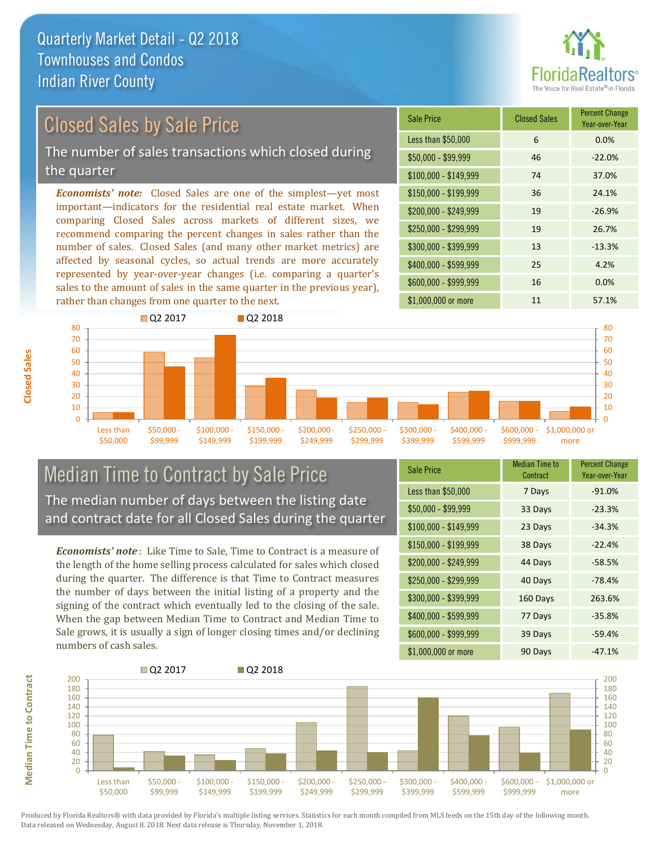## Closed Sales by Sale Price

The number of sales transactions which closed during the quarter

*Economists' note:* Closed Sales are one of the simplest—yet most important—indicators for the residential real estate market. When comparing Closed Sales across markets of different sizes, we recommend comparing the percent changes in sales rather than the number of sales. Closed Sales (and many other market metrics) are affected by seasonal cycles, so actual trends are more accurately represented by year-over-year changes (i.e. comparing a quarter's sales to the amount of sales in the same quarter in the previous year), rather than changes from one quarter to the next.

| Sale Price            | <b>Closed Sales</b> | <b>Percent Change</b><br>Year-over-Year |
|-----------------------|---------------------|-----------------------------------------|
| Less than \$50,000    | 6                   | 0.0%                                    |
| \$50,000 - \$99,999   | 46                  | $-22.0%$                                |
| $$100,000 - $149,999$ | 74                  | 37.0%                                   |
| $$150,000 - $199,999$ | 36                  | 24.1%                                   |
| \$200,000 - \$249,999 | 19                  | $-26.9%$                                |
| \$250,000 - \$299,999 | 19                  | 26.7%                                   |
| \$300,000 - \$399,999 | 13                  | $-13.3%$                                |
| \$400,000 - \$599,999 | 25                  | 4.2%                                    |
| \$600,000 - \$999,999 | 16                  | 0.0%                                    |
| \$1,000,000 or more   | 11                  | 57.1%                                   |



#### Median Time to Contract by Sale Price The median number of days between the listing date and contract date for all Closed Sales during the quarter

*Economists' note* : Like Time to Sale, Time to Contract is a measure of the length of the home selling process calculated for sales which closed during the quarter. The difference is that Time to Contract measures the number of days between the initial listing of a property and the signing of the contract which eventually led to the closing of the sale. When the gap between Median Time to Contract and Median Time to Sale grows, it is usually a sign of longer closing times and/or declining numbers of cash sales.

| <b>Sale Price</b>     | <b>Median Time to</b><br>Contract | <b>Percent Change</b><br>Year-over-Year |
|-----------------------|-----------------------------------|-----------------------------------------|
| Less than \$50,000    | 7 Days                            | $-91.0%$                                |
| $$50,000 - $99,999$   | 33 Days                           | $-23.3%$                                |
| $$100,000 - $149,999$ | 23 Days                           | $-34.3%$                                |
| \$150,000 - \$199,999 | 38 Days                           | $-22.4%$                                |
| \$200,000 - \$249,999 | 44 Days                           | $-58.5%$                                |
| \$250,000 - \$299,999 | 40 Days                           | $-78.4%$                                |
| \$300,000 - \$399,999 | 160 Days                          | 263.6%                                  |
| \$400,000 - \$599,999 | 77 Days                           | $-35.8%$                                |
| \$600,000 - \$999,999 | 39 Days                           | $-59.4%$                                |
| \$1,000,000 or more   | 90 Days                           | $-47.1%$                                |



Produced by Florida Realtors® with data provided by Florida's multiple listing services. Statistics for each month compiled from MLS feeds on the 15th day of the following month. Data released on Wednesday, August 8, 2018. Next data release is Thursday, November 1, 2018.

**Median Time to Contract Median Time to Contract**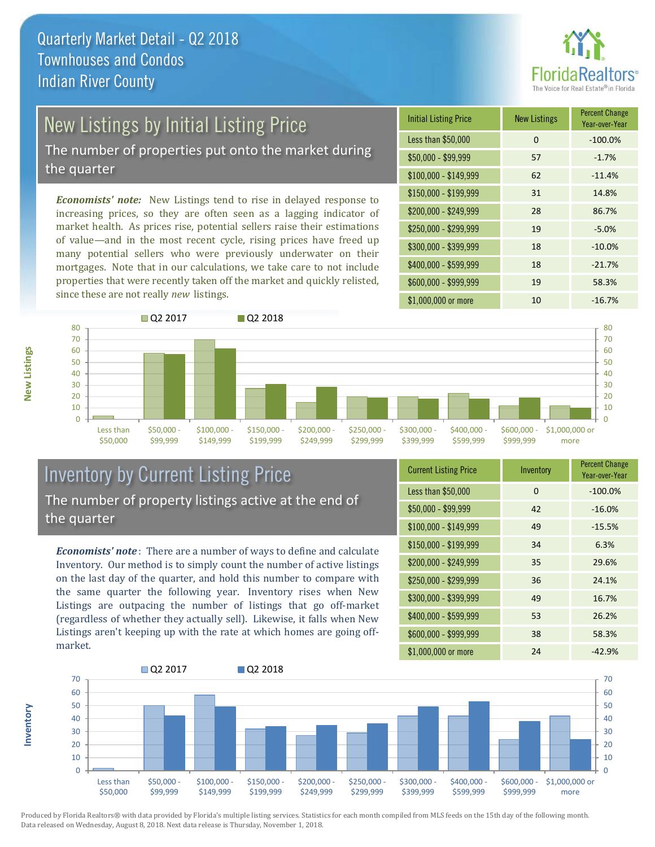

# New Listings by Initial Listing Price

The number of properties put onto the market during the quarter

*Economists' note:* New Listings tend to rise in delayed response to increasing prices, so they are often seen as a lagging indicator of market health. As prices rise, potential sellers raise their estimations of value—and in the most recent cycle, rising prices have freed up many potential sellers who were previously underwater on their mortgages. Note that in our calculations, we take care to not include properties that were recently taken off the market and quickly relisted, since these are not really *new* listings.

| <b>Initial Listing Price</b> | <b>New Listings</b> | <b>Percent Change</b><br>Year-over-Year |
|------------------------------|---------------------|-----------------------------------------|
| Less than \$50,000           | 0                   | $-100.0%$                               |
| $$50,000 - $99,999$          | 57                  | $-1.7%$                                 |
| $$100,000 - $149,999$        | 62                  | $-11.4%$                                |
| $$150,000 - $199,999$        | 31                  | 14.8%                                   |
| \$200,000 - \$249,999        | 28                  | 86.7%                                   |
| \$250,000 - \$299,999        | 19                  | $-5.0%$                                 |
| \$300,000 - \$399,999        | 18                  | $-10.0%$                                |
| \$400,000 - \$599,999        | 18                  | $-21.7%$                                |
| \$600,000 - \$999,999        | 19                  | 58.3%                                   |
| \$1,000,000 or more          | 10                  | $-16.7%$                                |



#### Inventory by Current Listing Price The number of property listings active at the end of the quarter

*Economists' note* : There are a number of ways to define and calculate Inventory. Our method is to simply count the number of active listings on the last day of the quarter, and hold this number to compare with the same quarter the following year. Inventory rises when New Listings are outpacing the number of listings that go off-market (regardless of whether they actually sell). Likewise, it falls when New Listings aren't keeping up with the rate at which homes are going offmarket.

| <b>Current Listing Price</b> | Inventory | <b>Percent Change</b><br>Year-over-Year |
|------------------------------|-----------|-----------------------------------------|
| Less than \$50,000           | 0         | $-100.0%$                               |
| $$50,000 - $99,999$          | 42        | $-16.0%$                                |
| $$100,000 - $149,999$        | 49        | $-15.5%$                                |
| $$150,000 - $199,999$        | 34        | 6.3%                                    |
| \$200,000 - \$249,999        | 35        | 29.6%                                   |
| \$250,000 - \$299,999        | 36        | 24.1%                                   |
| \$300,000 - \$399,999        | 49        | 16.7%                                   |
| $$400,000 - $599,999$        | 53        | 26.2%                                   |
| \$600,000 - \$999,999        | 38        | 58.3%                                   |
| \$1,000,000 or more          | 24        | $-42.9%$                                |



Produced by Florida Realtors® with data provided by Florida's multiple listing services. Statistics for each month compiled from MLS feeds on the 15th day of the following month. Data released on Wednesday, August 8, 2018. Next data release is Thursday, November 1, 2018.

**Inventory**